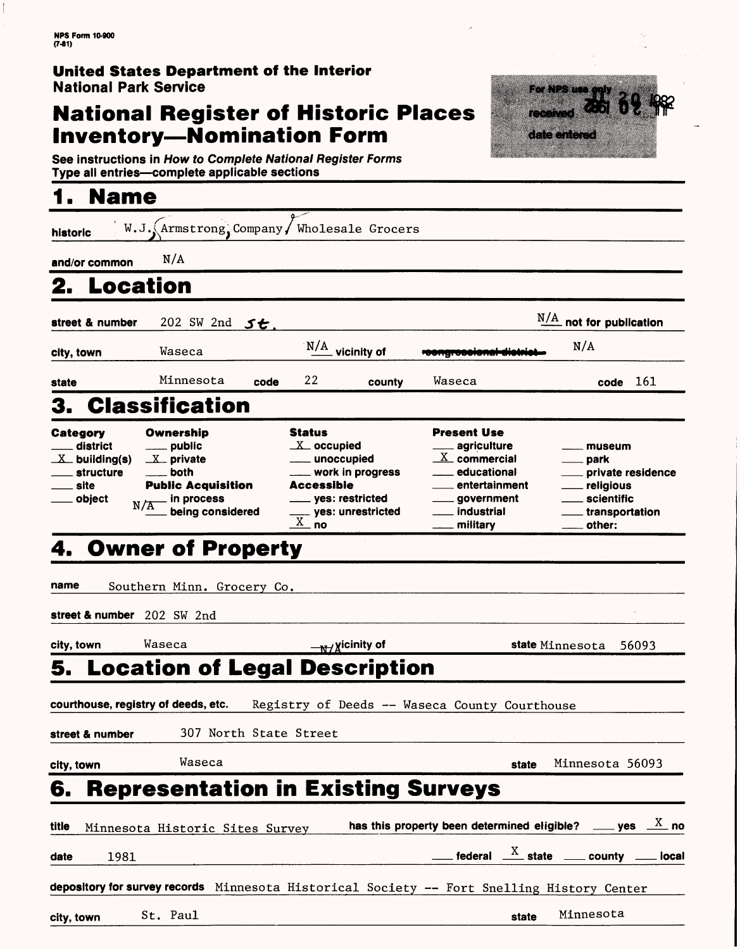### **United States Department of the Interior** National Park Service

### **National Register of Historic Places Inventory—Nomination Form**

For NPS use te a date entered

See instructions in How to Complete National Register Forms Type all entries—complete applicable sections\_\_\_\_\_\_\_\_\_\_\_\_\_\_\_

| <b>Name</b>                                                                                  |                                                                                                                                   |                                                                                                                                                                                           |                                                                                                                                    |                                                                                             |
|----------------------------------------------------------------------------------------------|-----------------------------------------------------------------------------------------------------------------------------------|-------------------------------------------------------------------------------------------------------------------------------------------------------------------------------------------|------------------------------------------------------------------------------------------------------------------------------------|---------------------------------------------------------------------------------------------|
| historic                                                                                     | $W.J.$ Armstrong, Company / Wholesale Grocers                                                                                     |                                                                                                                                                                                           |                                                                                                                                    |                                                                                             |
| and/or common                                                                                | N/A                                                                                                                               |                                                                                                                                                                                           |                                                                                                                                    |                                                                                             |
| 2.                                                                                           | Location                                                                                                                          |                                                                                                                                                                                           |                                                                                                                                    |                                                                                             |
| street & number                                                                              | 202 SW 2nd 5t                                                                                                                     |                                                                                                                                                                                           |                                                                                                                                    | $\frac{N/A}{N}$ not for publication                                                         |
| city, town                                                                                   | Waseca                                                                                                                            | $N/A$ vicinity of                                                                                                                                                                         | <b>ASTRO INSTRUMENT</b>                                                                                                            | N/A                                                                                         |
| state                                                                                        | Minnesota<br>code                                                                                                                 | 22<br>county                                                                                                                                                                              | Waseca                                                                                                                             | $code$ 161                                                                                  |
| 3.                                                                                           | <b>Classification</b>                                                                                                             |                                                                                                                                                                                           |                                                                                                                                    |                                                                                             |
| Category<br><sub>-</sub> district<br>$X_$ building(s)<br>$\_$ structure<br>__ site<br>object | Ownership<br>___ public<br>$X$ private<br>both<br><b>Public Acquisition</b><br>in process<br>$N/\overline{A}$<br>being considered | <b>Status</b><br>$X$ occupied<br>____ unoccupied<br>__ work in progress<br><b>Accessible</b><br>_____ yes: restricted<br><sub>--</sub> yes: unrestricted<br>$\underline{\overline{X}}$ no | <b>Present Use</b><br>agriculture<br>$X$ commercial<br>educational<br>entertainment<br>____ government<br>. industrial<br>military | museum<br>park<br>private residence<br>religious<br>scientific<br>transportation.<br>other: |
| 4.                                                                                           | <b>Owner of Property</b>                                                                                                          |                                                                                                                                                                                           |                                                                                                                                    |                                                                                             |
| name                                                                                         | Southern Minn. Grocery Co.                                                                                                        |                                                                                                                                                                                           |                                                                                                                                    |                                                                                             |
| street & number 202 SW 2nd                                                                   |                                                                                                                                   |                                                                                                                                                                                           |                                                                                                                                    |                                                                                             |
|                                                                                              |                                                                                                                                   |                                                                                                                                                                                           |                                                                                                                                    |                                                                                             |
| city, town<br>5.                                                                             | Waseca<br><b>Location of Legal Description</b>                                                                                    | $\frac{1}{N}$ xicinity of                                                                                                                                                                 |                                                                                                                                    | state Minnesota<br>56093                                                                    |
|                                                                                              |                                                                                                                                   |                                                                                                                                                                                           |                                                                                                                                    |                                                                                             |
|                                                                                              | courthouse, registry of deeds, etc.                                                                                               |                                                                                                                                                                                           | Registry of Deeds -- Waseca County Courthouse                                                                                      |                                                                                             |
| street & number                                                                              | 307 North State Street                                                                                                            |                                                                                                                                                                                           |                                                                                                                                    |                                                                                             |
| city, town                                                                                   | Waseca                                                                                                                            |                                                                                                                                                                                           | state                                                                                                                              | Minnesota 56093                                                                             |
| 6.                                                                                           | <b>Representation in Existing Surveys</b>                                                                                         |                                                                                                                                                                                           |                                                                                                                                    |                                                                                             |
| title                                                                                        | Minnesota Historic Sites Survey                                                                                                   |                                                                                                                                                                                           | has this property been determined eligible? ____ yes $\frac{X}{X}$ no                                                              |                                                                                             |
| 1981<br>date                                                                                 |                                                                                                                                   |                                                                                                                                                                                           | ___ federal $\frac{\text{X}}{\text{X}}$ state ____ county ___                                                                      | local                                                                                       |
|                                                                                              | depository for survey records Minnesota Historical Society -- Fort Snelling History Center                                        |                                                                                                                                                                                           |                                                                                                                                    |                                                                                             |
| city, town                                                                                   | St. Paul                                                                                                                          |                                                                                                                                                                                           | state                                                                                                                              | Minnesota                                                                                   |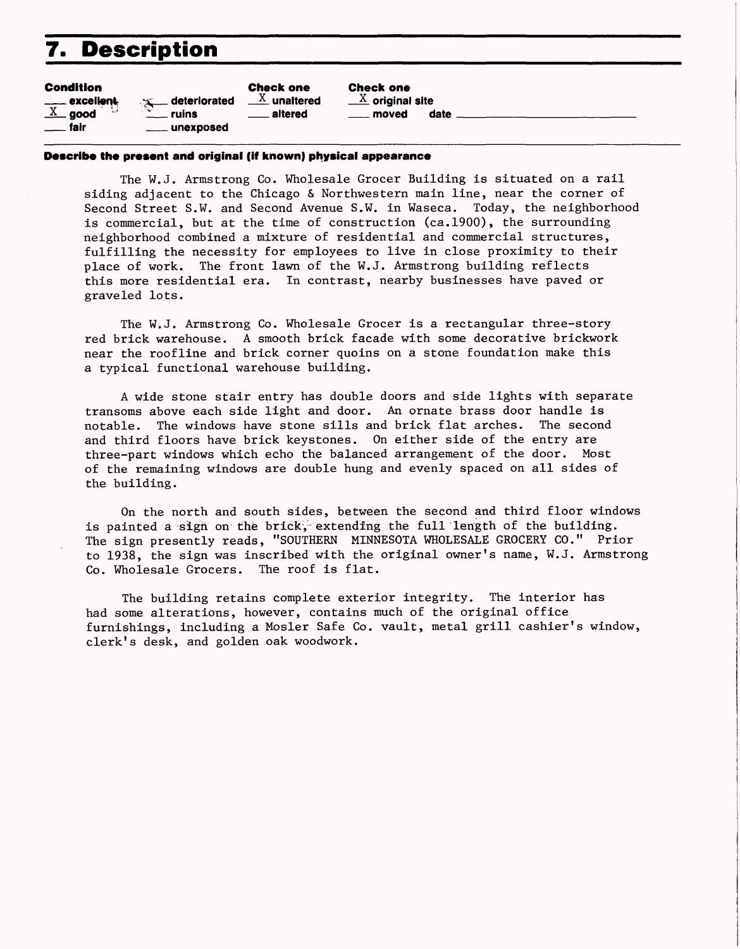## **7. Description**

| Condition      |  |
|----------------|--|
| ____ excellent |  |

 $\overline{X}$  good fair ruins

Check one  $\frac{X}{X}$  unaltered deteriorated altered unexposed

Check one  $\mathbb X$  original site moved date

#### **Describe the present and original (if known) physical appearance**

The W.J. Armstrong Co. Wholesale Grocer Building is situated on a rail siding adjacent to the Chicago & Northwestern main line, near the corner of Second Street S.W. and Second Avenue S.W. in Waseca. Today, the neighborhood is commercial, but at the time of construction (ca.1900), the surrounding neighborhood combined a mixture of residential and commercial structures, fulfilling the necessity for employees to live in close proximity to their place of work. The front lawn of the W.J. Armstrong building reflects this more residential era. In contrast, nearby businesses have paved or graveled lots.

The W.J. Armstrong Co. Wholesale Grocer is a rectangular three-story red brick warehouse. A smooth brick facade with some decorative brickwork near the roofline and brick corner quoins on a stone foundation make this a typical functional warehouse building.

A wide stone stair entry has double doors and side lights with separate transoms above each side light and door. An ornate brass door handle is notable. The windows have stone sills and brick flat arches. The second and third floors have brick keystones. On either side of the entry are three-part windows which echo the balanced arrangement of the door. Most of the remaining windows are double hung and evenly spaced on all sides of the building.

On the north and south sides, between the second and third floor windows is painted a sign on the brick, extending the full length of the building. The sign presently reads, "SOUTHERN MINNESOTA WHOLESALE GROCERY CO." Prior to 1938, the sign was inscribed with the original owner's name, W.J. Armstrong Co. Wholesale Grocers. The roof is flat.

The building retains complete exterior integrity. The interior has had some alterations, however, contains much of the original office furnishings, including a Mosler Safe Co. vault, metal grill cashier's window, clerk's desk, and golden oak woodwork.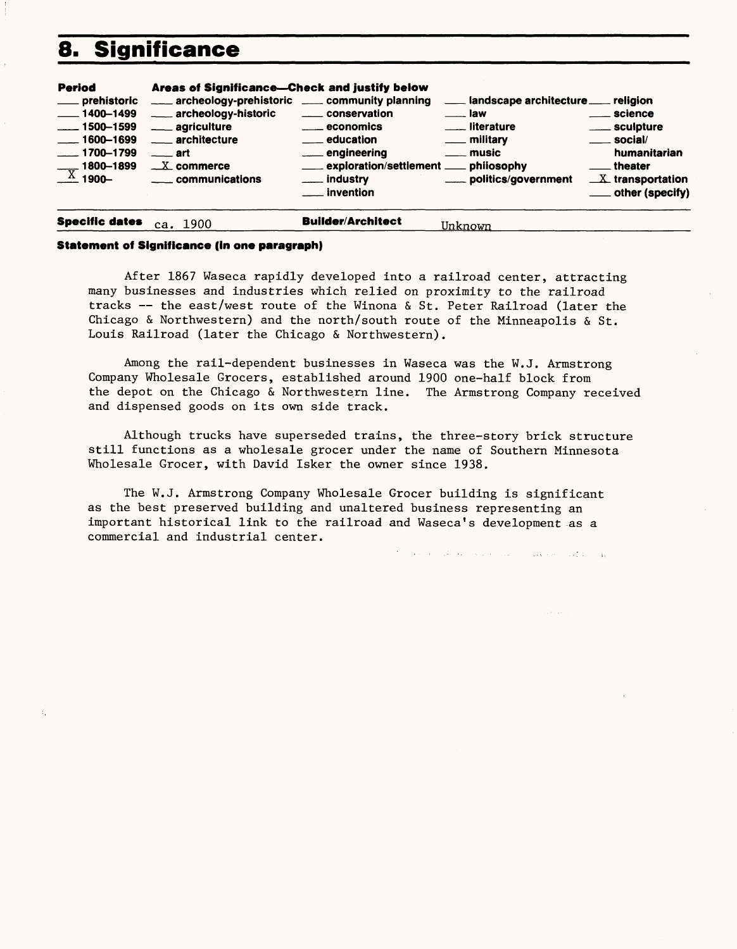### 8. Significance

| Period                                                                                                                                                | Areas of Significance-Check and justify below                                                                                                                         |                                                                                                                                                              |                                                                                                                                                       |                                                                                                                                                |
|-------------------------------------------------------------------------------------------------------------------------------------------------------|-----------------------------------------------------------------------------------------------------------------------------------------------------------------------|--------------------------------------------------------------------------------------------------------------------------------------------------------------|-------------------------------------------------------------------------------------------------------------------------------------------------------|------------------------------------------------------------------------------------------------------------------------------------------------|
| ____ prehistoric<br>$\frac{1}{2}$ 1400–1499<br>$\frac{1}{2}$ 1500-1599<br>$- 1600 - 1699$<br>$-1700 - 1799$<br>1800-1899<br>$\frac{1800-1}{x}$ 1900-1 | ___ archeology-prehistoric __ community planning<br>archeology-historic<br>___ agriculture<br>___ architecture<br>$\equiv$ art<br>$X$ commerce<br>____ communications | ____ conservation<br><u>__</u> economics<br>____ education<br>engineering<br>exploration/settlement ____ philosophy<br><u>_</u> __ industry<br>___ invention | Landscape architecture Languistic<br>$\equiv$ law<br><u>__</u> __ literature<br><u>_</u> __ military<br><u>_</u> __ music<br>____ politics/government | <u>__</u> science<br>____ sculpture<br>$\rule{1em}{0.15mm}$ social/<br>humanitarian<br>__ theater<br>$X$ transportation<br>___ other (specify) |
|                                                                                                                                                       |                                                                                                                                                                       |                                                                                                                                                              |                                                                                                                                                       |                                                                                                                                                |

#### **Specific dates** ca. 1900 **Builder/Architect** Unknown

#### **Statement of Significance (In one paragraph)**

After 1867 Waseca rapidly developed into a railroad center, attracting many businesses and industries which relied on proximity to the railroad tracks — the east/west route of the Winona & St. Peter Railroad (later the Chicago & Northwestern) and the north/south route of the Minneapolis & St. Louis Railroad (later the Chicago & Northwestern).

Among the rail-dependent businesses in Waseca was the W.J. Armstrong Company Wholesale Grocers, established around 1900 one-half block from the depot on the Chicago & Northwestern line. The Armstrong Company received and dispensed goods on its own side track.

Although trucks have superseded trains, the three-story brick structure still functions as a wholesale grocer under the name of Southern Minnesota Wholesale Grocer, with David Isker the owner since 1938.

The W.J. Armstrong Company Wholesale Grocer building is significant as the best preserved building and unaltered business representing an important historical link to the railroad and Waseca's development as a commercial and industrial center.

the second of the company of the second state of the second